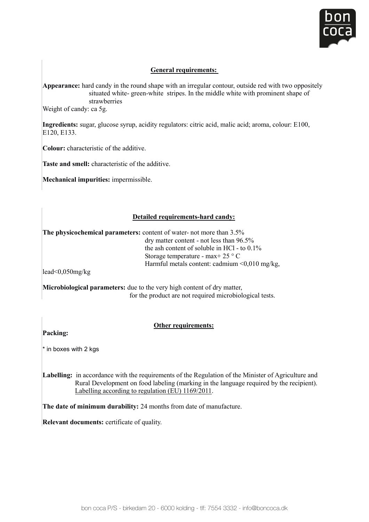

## **General requirements:**

Appearance: hard candy in the round shape with an irregular contour, outside red with two oppositely situated white- green-white stripes. In the middle white with prominent shape of attenual requirements: strawberries **Appearance:**  $\theta$  is the round shape with an intervention of  $\theta$  is the round shape with two oppositely contour, outside  $\theta$  $sa<sub>5</sub>$ 

Weight of candy: ca 5g. strawberries weight of candy, ca  $\sigma$ g.

**Ingredients:** sugar, glucose syrup, acidity regulators: citric acid, malic acid; aroma, colour: E100, E120, E133. **Ingredients:** sugar, glucose syrup, acidity regulators: citric acid, malic acid; aroma, colour: E100, ar, grucose s

Colour: characteristic of the additive. **Ingredients:** Sugar, glucose synup, acidity regulators: colour: E100, malic acid, malic acid, malic acidity regulators:  $\frac{1}{2}$ 

**Taste and smell:** characteristic of the additive. 

**Mechanical impurities:** impermissible.

# **Detailed requirements-hard candy:**

 $\overline{a}$  matter content - not less than 96.5% in less than 9.5% in less than 9.5% in less than 9.5% in less than 9.5% in less than 9.5% in less than 9.5% in less than 9.5% in less than 9.5% in less than 9.5% in less than **The physicochemical parameters:** content of water- not more than 3.5%  $\frac{dy}{dx}$  dry matter content - not less than 96.5% the ash content of soluble in HCl - to  $0.1\%$ Storage temperature - max + 25  $\degree$  C Harmful metals content: cadmium <0,010 mg/kg,

lead<0,050mg/kg  $\mathcal{L}$  metals content: cadmium  $\mathcal{L}$  metals content: cadmium  $\mathcal{L}$ 

 for the product are not required microbiological tests. **Our real form of the product are not required microbiological tests.** Microbiological parameters: due to the very high content of dry matter, **Microbiological parameters:** due to the very high content of dry matter,

### **Other requirements:**

Packing:

**Labelling:** in boxes with 2 kgs \* in boxes with 2 kgs

**The discussion** durability: The decordance with the requirements of the regulation of the immister of rightential<br>Rural Development on food labeling (marking in the language required by the recipient). Labelling according to regulation (EU) 1169/2011. Rural Development on food labeling (marking in the language required by the recipient). Labelling: in accordance with the requirements of the Regulation of the Minister of Agriculture and

**The date of minimum durability:** 24 months from date of manufacture.

**Relevant documents:** certificate of quality.